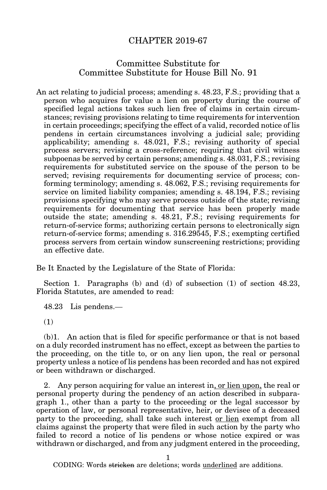## CHAPTER 2019-67

## Committee Substitute for Committee Substitute for House Bill No. 91

An act relating to judicial process; amending s. 48.23, F.S.; providing that a person who acquires for value a lien on property during the course of specified legal actions takes such lien free of claims in certain circumstances; revising provisions relating to time requirements for intervention in certain proceedings; specifying the effect of a valid, recorded notice of lis pendens in certain circumstances involving a judicial sale; providing applicability; amending s. 48.021, F.S.; revising authority of special process servers; revising a cross-reference; requiring that civil witness subpoenas be served by certain persons; amending s. 48.031, F.S.; revising requirements for substituted service on the spouse of the person to be served; revising requirements for documenting service of process; conforming terminology; amending s. 48.062, F.S.; revising requirements for service on limited liability companies; amending s. 48.194, F.S.; revising provisions specifying who may serve process outside of the state; revising requirements for documenting that service has been properly made outside the state; amending s. 48.21, F.S.; revising requirements for return-of-service forms; authorizing certain persons to electronically sign return-of-service forms; amending s. 316.29545, F.S.; exempting certified process servers from certain window sunscreening restrictions; providing an effective date.

Be It Enacted by the Legislature of the State of Florida:

Section 1. Paragraphs (b) and (d) of subsection (1) of section 48.23, Florida Statutes, are amended to read:

48.23 Lis pendens.—

(1)

(b)1. An action that is filed for specific performance or that is not based on a duly recorded instrument has no effect, except as between the parties to the proceeding, on the title to, or on any lien upon, the real or personal property unless a notice of lis pendens has been recorded and has not expired or been withdrawn or discharged.

2. Any person acquiring for value an interest in, or lien upon, the real or personal property during the pendency of an action described in subparagraph 1., other than a party to the proceeding or the legal successor by operation of law, or personal representative, heir, or devisee of a deceased party to the proceeding, shall take such interest or lien exempt from all claims against the property that were filed in such action by the party who failed to record a notice of lis pendens or whose notice expired or was withdrawn or discharged, and from any judgment entered in the proceeding,

1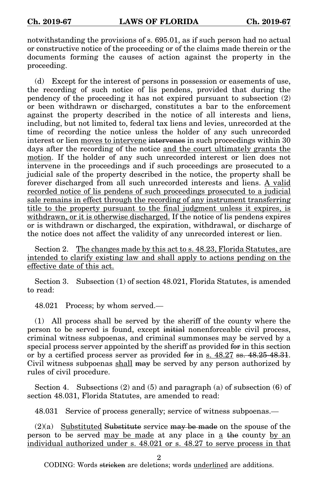notwithstanding the provisions of s. 695.01, as if such person had no actual or constructive notice of the proceeding or of the claims made therein or the documents forming the causes of action against the property in the proceeding.

(d) Except for the interest of persons in possession or easements of use, the recording of such notice of lis pendens, provided that during the pendency of the proceeding it has not expired pursuant to subsection (2) or been withdrawn or discharged, constitutes a bar to the enforcement against the property described in the notice of all interests and liens, including, but not limited to, federal tax liens and levies, unrecorded at the time of recording the notice unless the holder of any such unrecorded interest or lien moves to intervene intervenes in such proceedings within 30 days after the recording of the notice and the court ultimately grants the motion. If the holder of any such unrecorded interest or lien does not intervene in the proceedings and if such proceedings are prosecuted to a judicial sale of the property described in the notice, the property shall be forever discharged from all such unrecorded interests and liens. A valid recorded notice of lis pendens of such proceedings prosecuted to a judicial sale remains in effect through the recording of any instrument transferring title to the property pursuant to the final judgment unless it expires, is withdrawn, or it is otherwise discharged. If the notice of lis pendens expires or is withdrawn or discharged, the expiration, withdrawal, or discharge of the notice does not affect the validity of any unrecorded interest or lien.

Section 2. The changes made by this act to s. 48.23, Florida Statutes, are intended to clarify existing law and shall apply to actions pending on the effective date of this act.

Section 3. Subsection (1) of section 48.021, Florida Statutes, is amended to read:

48.021 Process; by whom served.—

(1) All process shall be served by the sheriff of the county where the person to be served is found, except initial nonenforceable civil process, criminal witness subpoenas, and criminal summonses may be served by a special process server appointed by the sheriff as provided for in this section or by a certified process server as provided for in s.  $48.27$  ss.  $48.25$ - $48.31$ . Civil witness subpoenas shall may be served by any person authorized by rules of civil procedure.

Section 4. Subsections  $(2)$  and  $(5)$  and paragraph  $(a)$  of subsection  $(6)$  of section 48.031, Florida Statutes, are amended to read:

48.031 Service of process generally; service of witness subpoenas.—

 $(2)(a)$  Substituted Substitute service may be made on the spouse of the person to be served may be made at any place in a the county by an individual authorized under s. 48.021 or s. 48.27 to serve process in that

2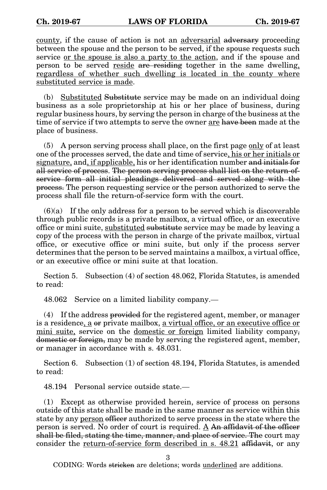county, if the cause of action is not an adversarial adversary proceeding between the spouse and the person to be served, if the spouse requests such service or the spouse is also a party to the action, and if the spouse and person to be served <u>reside are residing</u> together in the same dwelling, regardless of whether such dwelling is located in the county where substituted service is made.

(b) Substituted Substitute service may be made on an individual doing business as a sole proprietorship at his or her place of business, during regular business hours, by serving the person in charge of the business at the time of service if two attempts to serve the owner are have been made at the place of business.

(5) A person serving process shall place, on the first page only of at least one of the processes served, the date and time of service, his or her initials or signature, and, if applicable, his or her identification number and initials for all service of process. The person serving process shall list on the return-ofservice form all initial pleadings delivered and served along with the process. The person requesting service or the person authorized to serve the process shall file the return-of-service form with the court.

 $(6)(a)$  If the only address for a person to be served which is discoverable through public records is a private mailbox, a virtual office, or an executive office or mini suite, substituted substitute service may be made by leaving a copy of the process with the person in charge of the private mailbox, virtual office, or executive office or mini suite, but only if the process server determines that the person to be served maintains a mailbox, a virtual office, or an executive office or mini suite at that location.

Section 5. Subsection (4) of section 48.062, Florida Statutes, is amended to read:

48.062 Service on a limited liability company.—

(4) If the address provided for the registered agent, member, or manager is a residence, a or private mailbox, a virtual office, or an executive office or mini suite, service on the domestic or foreign limited liability company, domestic or foreign, may be made by serving the registered agent, member, or manager in accordance with s. 48.031.

Section 6. Subsection (1) of section 48.194, Florida Statutes, is amended to read:

48.194 Personal service outside state.—

(1) Except as otherwise provided herein, service of process on persons outside of this state shall be made in the same manner as service within this state by any person officer authorized to serve process in the state where the person is served. No order of court is required. A An affidavit of the officer shall be filed, stating the time, manner, and place of service. The court may consider the return-of-service form described in s. 48.21 affidavit, or any

3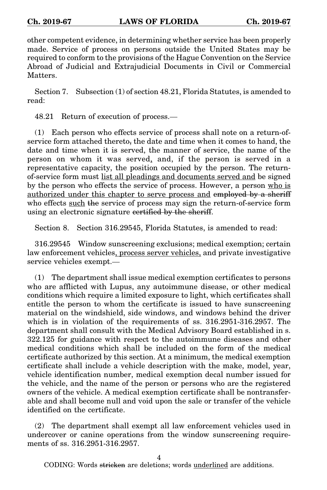other competent evidence, in determining whether service has been properly made. Service of process on persons outside the United States may be required to conform to the provisions of the Hague Convention on the Service Abroad of Judicial and Extrajudicial Documents in Civil or Commercial Matters.

Section 7. Subsection (1) of section 48.21, Florida Statutes, is amended to read:

48.21 Return of execution of process.—

(1) Each person who effects service of process shall note on a return-ofservice form attached thereto, the date and time when it comes to hand, the date and time when it is served, the manner of service, the name of the person on whom it was served, and, if the person is served in a representative capacity, the position occupied by the person. The returnof-service form must list all pleadings and documents served and be signed by the person who effects the service of process. However, a person who is authorized under this chapter to serve process and employed by a sheriff who effects such the service of process may sign the return-of-service form using an electronic signature certified by the sheriff.

Section 8. Section 316.29545, Florida Statutes, is amended to read:

316.29545 Window sunscreening exclusions; medical exemption; certain law enforcement vehicles, process server vehicles, and private investigative service vehicles exempt.—

(1) The department shall issue medical exemption certificates to persons who are afflicted with Lupus, any autoimmune disease, or other medical conditions which require a limited exposure to light, which certificates shall entitle the person to whom the certificate is issued to have sunscreening material on the windshield, side windows, and windows behind the driver which is in violation of the requirements of ss. 316.2951-316.2957. The department shall consult with the Medical Advisory Board established in s. 322.125 for guidance with respect to the autoimmune diseases and other medical conditions which shall be included on the form of the medical certificate authorized by this section. At a minimum, the medical exemption certificate shall include a vehicle description with the make, model, year, vehicle identification number, medical exemption decal number issued for the vehicle, and the name of the person or persons who are the registered owners of the vehicle. A medical exemption certificate shall be nontransferable and shall become null and void upon the sale or transfer of the vehicle identified on the certificate.

(2) The department shall exempt all law enforcement vehicles used in undercover or canine operations from the window sunscreening requirements of ss. 316.2951-316.2957.

4